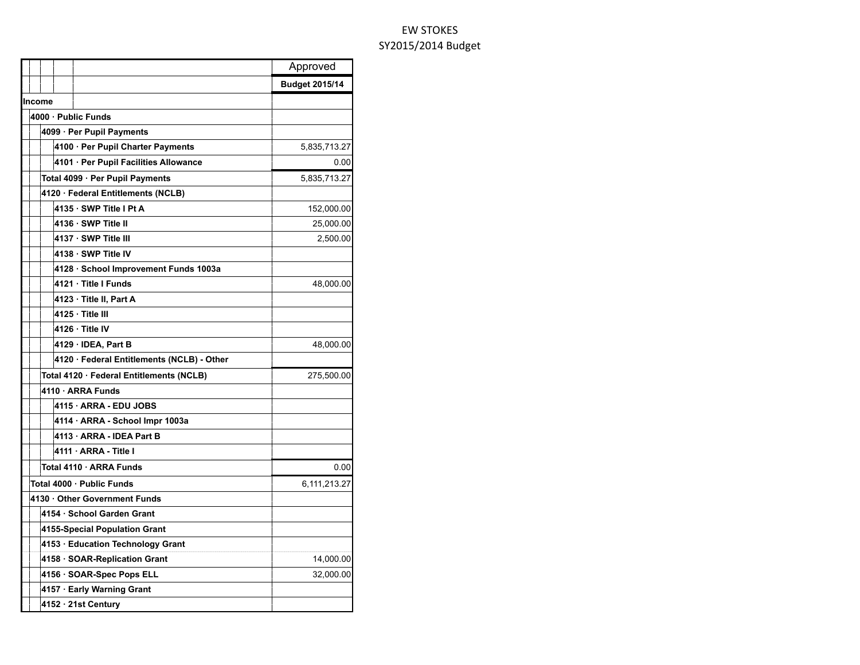|                                            | Approved              |
|--------------------------------------------|-----------------------|
|                                            | <b>Budget 2015/14</b> |
| Income                                     |                       |
| 4000 · Public Funds                        |                       |
| 4099 · Per Pupil Payments                  |                       |
| 4100 · Per Pupil Charter Payments          | 5,835,713.27          |
| 4101 · Per Pupil Facilities Allowance      | 0.00                  |
| Total 4099 · Per Pupil Payments            | 5,835,713.27          |
| 4120 · Federal Entitlements (NCLB)         |                       |
| 4135 · SWP Title I Pt A                    | 152,000.00            |
| 4136 · SWP Title II                        | 25,000.00             |
| 4137 · SWP Title III                       | 2,500.00              |
| 4138 · SWP Title IV                        |                       |
| 4128 · School Improvement Funds 1003a      |                       |
| 4121 · Title I Funds                       | 48,000.00             |
| 4123 · Title II, Part A                    |                       |
| 4125 · Title III                           |                       |
| 4126 · Title IV                            |                       |
| 4129 · IDEA, Part B                        | 48,000.00             |
| 4120 · Federal Entitlements (NCLB) - Other |                       |
| Total 4120 · Federal Entitlements (NCLB)   | 275,500.00            |
| 4110 · ARRA Funds                          |                       |
| 4115 · ARRA - EDU JOBS                     |                       |
| 4114 · ARRA - School Impr 1003a            |                       |
| 4113 · ARRA - IDEA Part B                  |                       |
| 4111 · ARRA - Title I                      |                       |
| Total 4110 · ARRA Funds                    | 0.00                  |
| Total 4000 · Public Funds                  | 6,111,213.27          |
| 4130 · Other Government Funds              |                       |
| 4154 · School Garden Grant                 |                       |
| 4155-Special Population Grant              |                       |
| 4153 · Education Technology Grant          |                       |
| 4158 · SOAR-Replication Grant              | 14,000.00             |
| 4156 · SOAR-Spec Pops ELL                  | 32,000.00             |
| 4157 · Early Warning Grant                 |                       |
| 4152 · 21st Century                        |                       |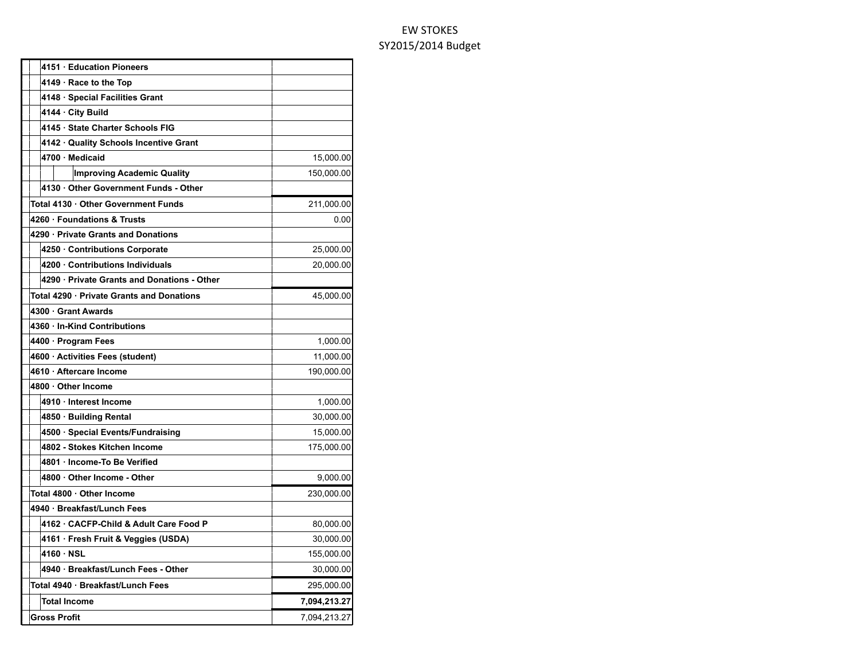| 4151 · Education Pioneers                   |              |
|---------------------------------------------|--------------|
| $4149 \cdot$ Race to the Top                |              |
| 4148 · Special Facilities Grant             |              |
| 4144 · City Build                           |              |
| 4145 · State Charter Schools FIG            |              |
| 4142 · Quality Schools Incentive Grant      |              |
| 4700 Medicaid                               | 15,000.00    |
| <b>Improving Academic Quality</b>           | 150,000.00   |
| 4130 Other Government Funds - Other         |              |
| Total 4130 · Other Government Funds         | 211,000.00   |
| 4260 · Foundations & Trusts                 | 0.00         |
| 4290 · Private Grants and Donations         |              |
| 4250 Contributions Corporate                | 25,000.00    |
| 4200 Contributions Individuals              | 20,000.00    |
| 4290 · Private Grants and Donations - Other |              |
| Total 4290 · Private Grants and Donations   | 45,000.00    |
| 4300 · Grant Awards                         |              |
| 4360 · In-Kind Contributions                |              |
| 4400 · Program Fees                         | 1,000.00     |
| 4600 · Activities Fees (student)            | 11,000.00    |
| 4610 · Aftercare Income                     | 190,000.00   |
| 4800 · Other Income                         |              |
| 4910 · Interest Income                      | 1,000.00     |
| 4850 · Building Rental                      | 30,000.00    |
| 4500 · Special Events/Fundraising           | 15,000.00    |
| 4802 - Stokes Kitchen Income                | 175,000.00   |
| 4801 · Income-To Be Verified                |              |
| 4800 · Other Income - Other                 | 9,000.00     |
| Total 4800 · Other Income                   | 230,000.00   |
| 4940 · Breakfast/Lunch Fees                 |              |
| 4162 · CACFP-Child & Adult Care Food P      | 80,000.00    |
| 4161 · Fresh Fruit & Veggies (USDA)         | 30,000.00    |
| 4160 NSL                                    | 155,000.00   |
| 4940 · Breakfast/Lunch Fees - Other         | 30,000.00    |
| Total 4940 · Breakfast/Lunch Fees           | 295,000.00   |
| <b>Total Income</b>                         | 7,094,213.27 |
| Gross Profit                                | 7,094,213.27 |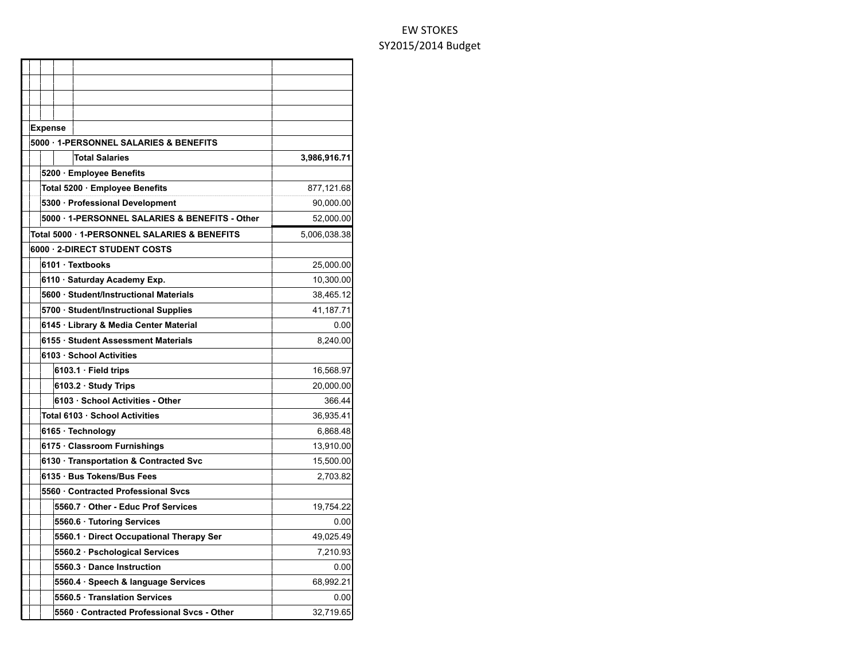| <b>Expense</b>                                 |              |
|------------------------------------------------|--------------|
| 5000 · 1-PERSONNEL SALARIES & BENEFITS         |              |
| <b>Total Salaries</b>                          | 3,986,916.71 |
| 5200 · Employee Benefits                       |              |
| Total 5200 · Employee Benefits                 | 877,121.68   |
| 5300 · Professional Development                | 90,000.00    |
| 5000 · 1-PERSONNEL SALARIES & BENEFITS - Other | 52,000.00    |
| Total 5000 · 1-PERSONNEL SALARIES & BENEFITS   | 5,006,038.38 |
| 6000 2-DIRECT STUDENT COSTS                    |              |
| 6101 · Textbooks                               | 25,000.00    |
| 6110 · Saturday Academy Exp.                   | 10,300.00    |
| 5600 · Student/Instructional Materials         | 38,465.12    |
| 5700 · Student/Instructional Supplies          | 41,187.71    |
| 6145 · Library & Media Center Material         | 0.00         |
| 6155 · Student Assessment Materials            | 8,240.00     |
| 6103 · School Activities                       |              |
| 6103.1 · Field trips                           | 16,568.97    |
| 6103.2 · Study Trips                           | 20,000.00    |
| 6103 · School Activities - Other               | 366.44       |
| Total 6103 · School Activities                 | 36,935.41    |
| 6165 · Technology                              | 6,868.48     |
| 6175 · Classroom Furnishings                   | 13,910.00    |
| 6130 · Transportation & Contracted Svc         | 15,500.00    |
| 6135 · Bus Tokens/Bus Fees                     | 2,703.82     |
| 5560 Contracted Professional Svcs              |              |
| 5560.7 Other - Educ Prof Services              | 19,754.22    |
| 5560.6 · Tutoring Services                     | 0.00         |
| 5560.1 · Direct Occupational Therapy Ser       | 49,025.49    |
| 5560.2 · Pschological Services                 | 7,210.93     |
| 5560.3 Dance Instruction                       | 0.00         |
| 5560.4 · Speech & language Services            | 68,992.21    |
| 5560.5 Translation Services                    | 0.00         |
| 5560 Contracted Professional Svcs - Other      | 32,719.65    |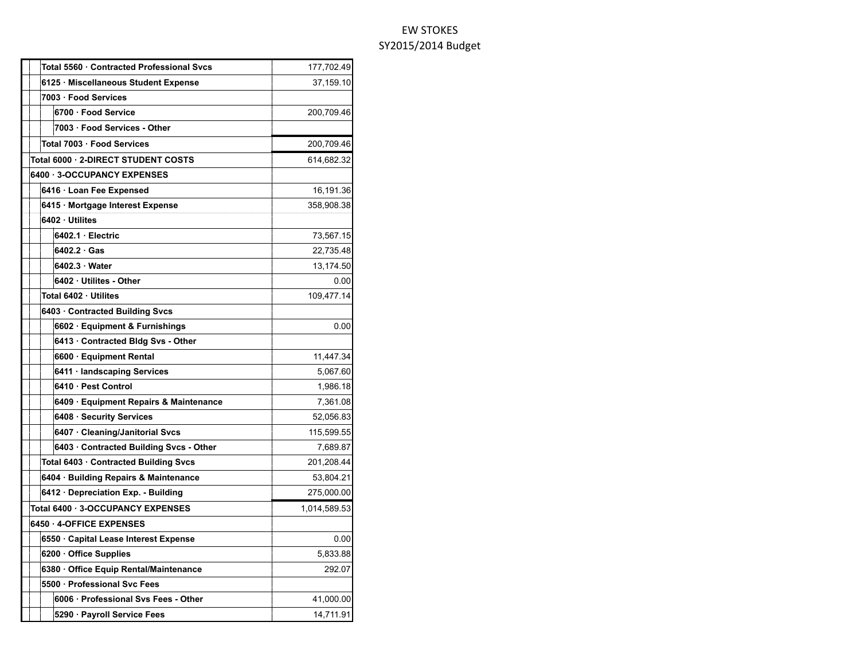| Total 5560 · Contracted Professional Svcs | 177,702.49   |
|-------------------------------------------|--------------|
| 6125 · Miscellaneous Student Expense      | 37,159.10    |
| 7003 · Food Services                      |              |
| 6700 · Food Service                       | 200,709.46   |
| 7003 · Food Services - Other              |              |
| Total 7003 · Food Services                | 200,709.46   |
| Total 6000 · 2-DIRECT STUDENT COSTS       | 614,682.32   |
| 6400 3-OCCUPANCY EXPENSES                 |              |
| 6416 · Loan Fee Expensed                  | 16,191.36    |
| 6415 · Mortgage Interest Expense          | 358,908.38   |
| 6402 · Utilites                           |              |
| 6402.1 · Electric                         | 73,567.15    |
| 6402.2 Gas                                | 22,735.48    |
| 6402.3 · Water                            | 13,174.50    |
| 6402 · Utilites - Other                   | 0.00         |
| Total 6402 · Utilites                     | 109,477.14   |
| 6403 Contracted Building Svcs             |              |
| 6602 · Equipment & Furnishings            | 0.00         |
| 6413 · Contracted Bldg Svs - Other        |              |
| 6600 · Equipment Rental                   | 11,447.34    |
| 6411 · landscaping Services               | 5,067.60     |
| 6410 · Pest Control                       | 1,986.18     |
| 6409 · Equipment Repairs & Maintenance    | 7,361.08     |
| 6408 · Security Services                  | 52,056.83    |
| 6407 Cleaning/Janitorial Svcs             | 115,599.55   |
| 6403 · Contracted Building Svcs - Other   | 7,689.87     |
| Total 6403 · Contracted Building Svcs     | 201,208.44   |
| 6404 · Building Repairs & Maintenance     | 53,804.21    |
| 6412 Depreciation Exp. - Building         | 275,000.00   |
| Total 6400 · 3-OCCUPANCY EXPENSES         | 1,014,589.53 |
| 6450 · 4-OFFICE EXPENSES                  |              |
| 6550 · Capital Lease Interest Expense     | 0.00         |
| 6200 Office Supplies                      | 5,833.88     |
| 6380 Office Equip Rental/Maintenance      | 292.07       |
| 5500 · Professional Svc Fees              |              |
| 6006 · Professional Svs Fees - Other      | 41,000.00    |
| 5290 · Payroll Service Fees               | 14,711.91    |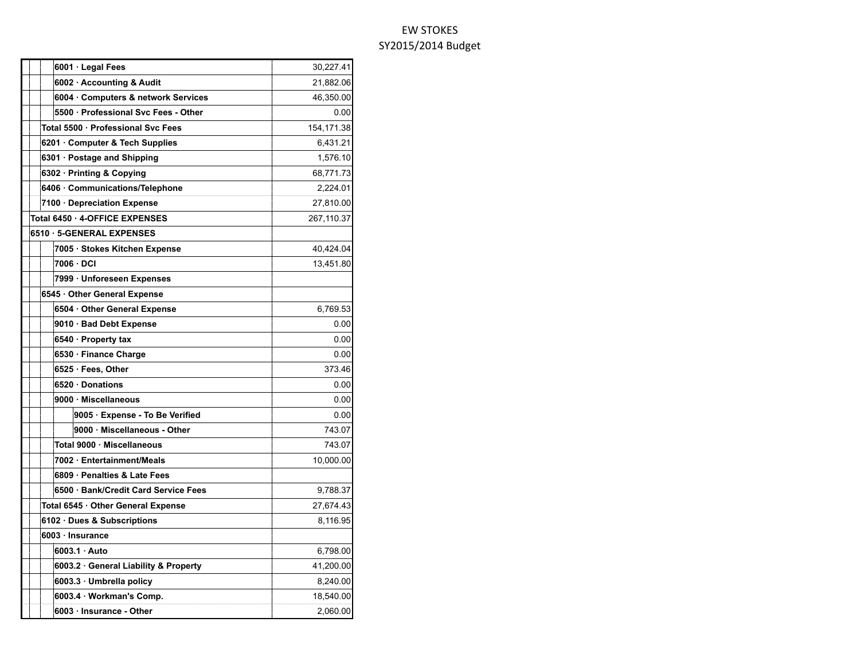| 6001 · Legal Fees                     | 30,227.41  |
|---------------------------------------|------------|
| 6002 · Accounting & Audit             | 21,882.06  |
| 6004 Computers & network Services     | 46,350.00  |
| 5500 · Professional Svc Fees - Other  | 0.00       |
| Total 5500 · Professional Svc Fees    | 154,171.38 |
| 6201 Computer & Tech Supplies         | 6,431.21   |
| $6301 \cdot$ Postage and Shipping     | 1,576.10   |
| 6302 · Printing & Copying             | 68,771.73  |
| 6406 · Communications/Telephone       | 2,224.01   |
| 7100 · Depreciation Expense           | 27,810.00  |
| Total 6450 · 4-OFFICE EXPENSES        | 267,110.37 |
| 6510 · 5-GENERAL EXPENSES             |            |
| 7005 · Stokes Kitchen Expense         | 40,424.04  |
| 7006 · DCI                            | 13,451.80  |
| 7999 · Unforeseen Expenses            |            |
| 6545 · Other General Expense          |            |
| 6504 · Other General Expense          | 6,769.53   |
| 9010 · Bad Debt Expense               | 0.00       |
| 6540 · Property tax                   | 0.00       |
| 6530 · Finance Charge                 | 0.00       |
| 6525 · Fees, Other                    | 373.46     |
| 6520 Donations                        | 0.00       |
| 9000 · Miscellaneous                  | 0.00       |
| 9005 · Expense - To Be Verified       | 0.00       |
| 9000 · Miscellaneous - Other          | 743.07     |
| Total 9000 · Miscellaneous            | 743.07     |
| 7002 · Entertainment/Meals            | 10,000.00  |
| 6809 · Penalties & Late Fees          |            |
| 6500 · Bank/Credit Card Service Fees  | 9,788.37   |
| Total 6545 · Other General Expense    | 27,674.43  |
| 6102 · Dues & Subscriptions           | 8,116.95   |
| 6003 · Insurance                      |            |
| 6003.1 Auto                           | 6,798.00   |
| 6003.2 · General Liability & Property | 41,200.00  |
| 6003.3 · Umbrella policy              | 8,240.00   |
| 6003.4 · Workman's Comp.              | 18,540.00  |
| 6003 · Insurance - Other              | 2,060.00   |